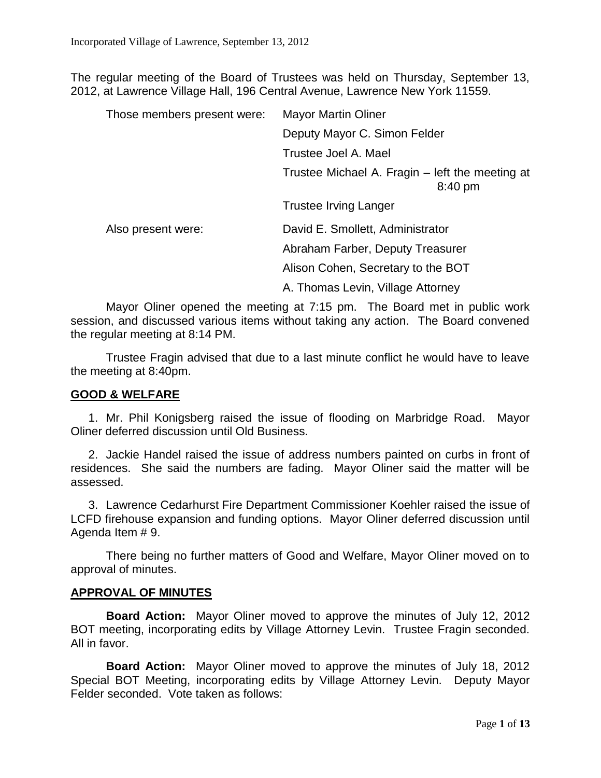The regular meeting of the Board of Trustees was held on Thursday, September 13, 2012, at Lawrence Village Hall, 196 Central Avenue, Lawrence New York 11559.

| Those members present were: | <b>Mayor Martin Oliner</b>                                 |
|-----------------------------|------------------------------------------------------------|
|                             | Deputy Mayor C. Simon Felder                               |
|                             | Trustee Joel A. Mael                                       |
|                             | Trustee Michael A. Fragin – left the meeting at<br>8:40 pm |
|                             | Trustee Irving Langer                                      |
| Also present were:          | David E. Smollett, Administrator                           |
|                             | Abraham Farber, Deputy Treasurer                           |
|                             | Alison Cohen, Secretary to the BOT                         |
|                             | A. Thomas Levin, Village Attorney                          |

Mayor Oliner opened the meeting at 7:15 pm. The Board met in public work session, and discussed various items without taking any action. The Board convened the regular meeting at 8:14 PM.

Trustee Fragin advised that due to a last minute conflict he would have to leave the meeting at 8:40pm.

## **GOOD & WELFARE**

1. Mr. Phil Konigsberg raised the issue of flooding on Marbridge Road. Mayor Oliner deferred discussion until Old Business.

2. Jackie Handel raised the issue of address numbers painted on curbs in front of residences. She said the numbers are fading. Mayor Oliner said the matter will be assessed.

3. Lawrence Cedarhurst Fire Department Commissioner Koehler raised the issue of LCFD firehouse expansion and funding options. Mayor Oliner deferred discussion until Agenda Item # 9.

There being no further matters of Good and Welfare, Mayor Oliner moved on to approval of minutes.

#### **APPROVAL OF MINUTES**

**Board Action:** Mayor Oliner moved to approve the minutes of July 12, 2012 BOT meeting, incorporating edits by Village Attorney Levin. Trustee Fragin seconded. All in favor.

**Board Action:** Mayor Oliner moved to approve the minutes of July 18, 2012 Special BOT Meeting, incorporating edits by Village Attorney Levin. Deputy Mayor Felder seconded. Vote taken as follows: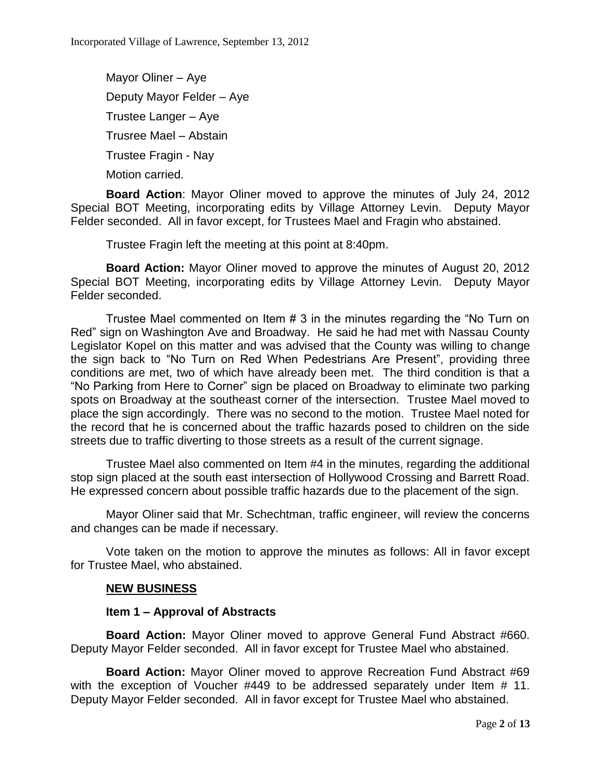Mayor Oliner – Aye Deputy Mayor Felder – Aye Trustee Langer – Aye Trusree Mael – Abstain Trustee Fragin - Nay Motion carried.

**Board Action**: Mayor Oliner moved to approve the minutes of July 24, 2012 Special BOT Meeting, incorporating edits by Village Attorney Levin. Deputy Mayor Felder seconded. All in favor except, for Trustees Mael and Fragin who abstained.

Trustee Fragin left the meeting at this point at 8:40pm.

**Board Action:** Mayor Oliner moved to approve the minutes of August 20, 2012 Special BOT Meeting, incorporating edits by Village Attorney Levin. Deputy Mayor Felder seconded.

Trustee Mael commented on Item # 3 in the minutes regarding the "No Turn on Red" sign on Washington Ave and Broadway. He said he had met with Nassau County Legislator Kopel on this matter and was advised that the County was willing to change the sign back to "No Turn on Red When Pedestrians Are Present", providing three conditions are met, two of which have already been met. The third condition is that a "No Parking from Here to Corner" sign be placed on Broadway to eliminate two parking spots on Broadway at the southeast corner of the intersection. Trustee Mael moved to place the sign accordingly. There was no second to the motion. Trustee Mael noted for the record that he is concerned about the traffic hazards posed to children on the side streets due to traffic diverting to those streets as a result of the current signage.

Trustee Mael also commented on Item #4 in the minutes, regarding the additional stop sign placed at the south east intersection of Hollywood Crossing and Barrett Road. He expressed concern about possible traffic hazards due to the placement of the sign.

Mayor Oliner said that Mr. Schechtman, traffic engineer, will review the concerns and changes can be made if necessary.

Vote taken on the motion to approve the minutes as follows: All in favor except for Trustee Mael, who abstained.

# **NEW BUSINESS**

# **Item 1 – Approval of Abstracts**

**Board Action:** Mayor Oliner moved to approve General Fund Abstract #660. Deputy Mayor Felder seconded. All in favor except for Trustee Mael who abstained.

**Board Action:** Mayor Oliner moved to approve Recreation Fund Abstract #69 with the exception of Voucher #449 to be addressed separately under Item # 11. Deputy Mayor Felder seconded. All in favor except for Trustee Mael who abstained.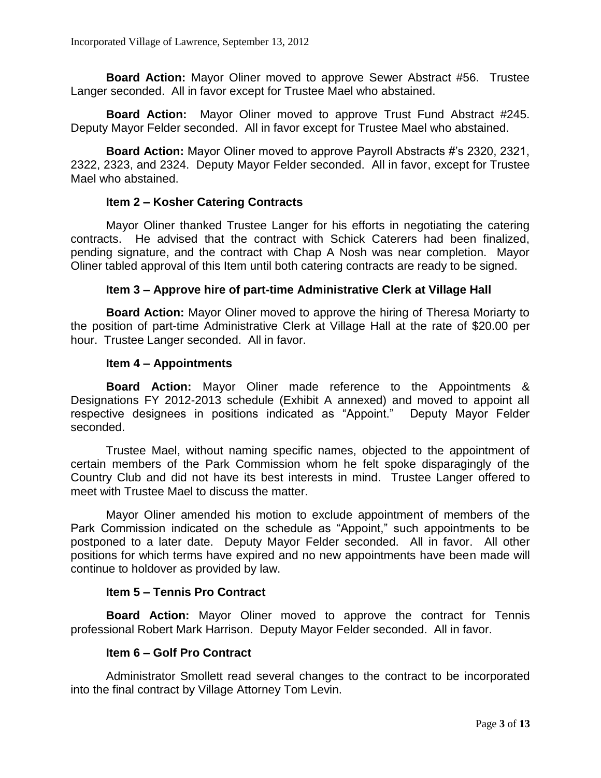**Board Action:** Mayor Oliner moved to approve Sewer Abstract #56. Trustee Langer seconded. All in favor except for Trustee Mael who abstained.

**Board Action:** Mayor Oliner moved to approve Trust Fund Abstract #245. Deputy Mayor Felder seconded. All in favor except for Trustee Mael who abstained.

**Board Action:** Mayor Oliner moved to approve Payroll Abstracts #'s 2320, 2321, 2322, 2323, and 2324. Deputy Mayor Felder seconded. All in favor, except for Trustee Mael who abstained.

## **Item 2 – Kosher Catering Contracts**

Mayor Oliner thanked Trustee Langer for his efforts in negotiating the catering contracts. He advised that the contract with Schick Caterers had been finalized, pending signature, and the contract with Chap A Nosh was near completion. Mayor Oliner tabled approval of this Item until both catering contracts are ready to be signed.

## **Item 3 – Approve hire of part-time Administrative Clerk at Village Hall**

**Board Action:** Mayor Oliner moved to approve the hiring of Theresa Moriarty to the position of part-time Administrative Clerk at Village Hall at the rate of \$20.00 per hour. Trustee Langer seconded. All in favor.

#### **Item 4 – Appointments**

**Board Action:** Mayor Oliner made reference to the Appointments & Designations FY 2012-2013 schedule (Exhibit A annexed) and moved to appoint all respective designees in positions indicated as "Appoint." Deputy Mayor Felder seconded.

Trustee Mael, without naming specific names, objected to the appointment of certain members of the Park Commission whom he felt spoke disparagingly of the Country Club and did not have its best interests in mind. Trustee Langer offered to meet with Trustee Mael to discuss the matter.

Mayor Oliner amended his motion to exclude appointment of members of the Park Commission indicated on the schedule as "Appoint," such appointments to be postponed to a later date. Deputy Mayor Felder seconded. All in favor. All other positions for which terms have expired and no new appointments have been made will continue to holdover as provided by law.

#### **Item 5 – Tennis Pro Contract**

**Board Action:** Mayor Oliner moved to approve the contract for Tennis professional Robert Mark Harrison. Deputy Mayor Felder seconded. All in favor.

# **Item 6 – Golf Pro Contract**

Administrator Smollett read several changes to the contract to be incorporated into the final contract by Village Attorney Tom Levin.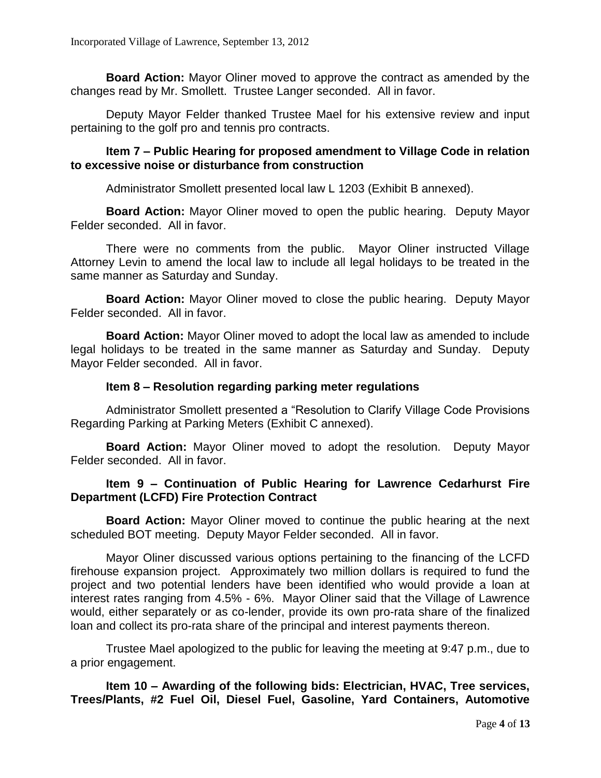**Board Action:** Mayor Oliner moved to approve the contract as amended by the changes read by Mr. Smollett. Trustee Langer seconded. All in favor.

Deputy Mayor Felder thanked Trustee Mael for his extensive review and input pertaining to the golf pro and tennis pro contracts.

## **Item 7 – Public Hearing for proposed amendment to Village Code in relation to excessive noise or disturbance from construction**

Administrator Smollett presented local law L 1203 (Exhibit B annexed).

**Board Action:** Mayor Oliner moved to open the public hearing. Deputy Mayor Felder seconded. All in favor.

There were no comments from the public. Mayor Oliner instructed Village Attorney Levin to amend the local law to include all legal holidays to be treated in the same manner as Saturday and Sunday.

**Board Action:** Mayor Oliner moved to close the public hearing. Deputy Mayor Felder seconded. All in favor.

**Board Action:** Mayor Oliner moved to adopt the local law as amended to include legal holidays to be treated in the same manner as Saturday and Sunday. Deputy Mayor Felder seconded. All in favor.

## **Item 8 – Resolution regarding parking meter regulations**

Administrator Smollett presented a "Resolution to Clarify Village Code Provisions Regarding Parking at Parking Meters (Exhibit C annexed).

**Board Action:** Mayor Oliner moved to adopt the resolution. Deputy Mayor Felder seconded. All in favor.

# **Item 9 – Continuation of Public Hearing for Lawrence Cedarhurst Fire Department (LCFD) Fire Protection Contract**

**Board Action:** Mayor Oliner moved to continue the public hearing at the next scheduled BOT meeting. Deputy Mayor Felder seconded. All in favor.

Mayor Oliner discussed various options pertaining to the financing of the LCFD firehouse expansion project. Approximately two million dollars is required to fund the project and two potential lenders have been identified who would provide a loan at interest rates ranging from 4.5% - 6%. Mayor Oliner said that the Village of Lawrence would, either separately or as co-lender, provide its own pro-rata share of the finalized loan and collect its pro-rata share of the principal and interest payments thereon.

Trustee Mael apologized to the public for leaving the meeting at 9:47 p.m., due to a prior engagement.

**Item 10 – Awarding of the following bids: Electrician, HVAC, Tree services, Trees/Plants, #2 Fuel Oil, Diesel Fuel, Gasoline, Yard Containers, Automotive**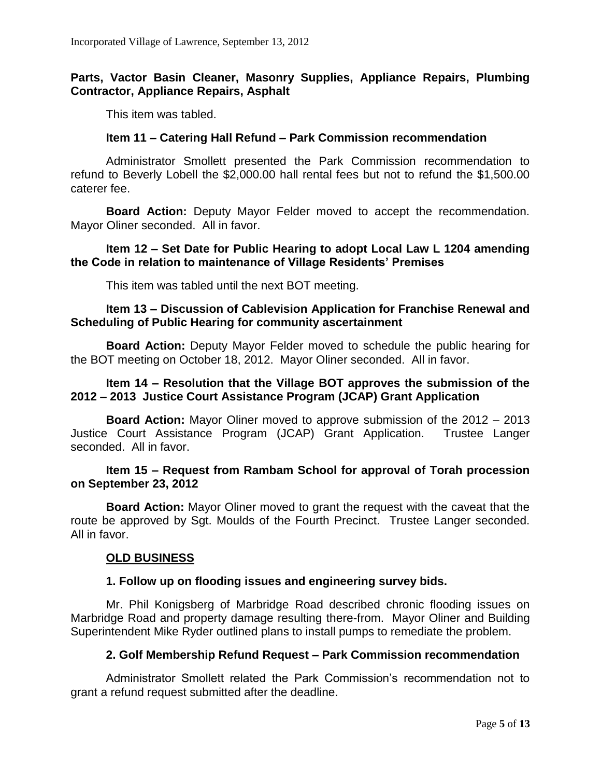# **Parts, Vactor Basin Cleaner, Masonry Supplies, Appliance Repairs, Plumbing Contractor, Appliance Repairs, Asphalt**

This item was tabled.

## **Item 11 – Catering Hall Refund – Park Commission recommendation**

Administrator Smollett presented the Park Commission recommendation to refund to Beverly Lobell the \$2,000.00 hall rental fees but not to refund the \$1,500.00 caterer fee.

**Board Action:** Deputy Mayor Felder moved to accept the recommendation. Mayor Oliner seconded. All in favor.

## **Item 12 – Set Date for Public Hearing to adopt Local Law L 1204 amending the Code in relation to maintenance of Village Residents' Premises**

This item was tabled until the next BOT meeting.

## **Item 13 – Discussion of Cablevision Application for Franchise Renewal and Scheduling of Public Hearing for community ascertainment**

**Board Action:** Deputy Mayor Felder moved to schedule the public hearing for the BOT meeting on October 18, 2012. Mayor Oliner seconded. All in favor.

## **Item 14 – Resolution that the Village BOT approves the submission of the 2012 – 2013 Justice Court Assistance Program (JCAP) Grant Application**

**Board Action:** Mayor Oliner moved to approve submission of the 2012 – 2013 Justice Court Assistance Program (JCAP) Grant Application. Trustee Langer seconded. All in favor.

## **Item 15 – Request from Rambam School for approval of Torah procession on September 23, 2012**

**Board Action:** Mayor Oliner moved to grant the request with the caveat that the route be approved by Sgt. Moulds of the Fourth Precinct. Trustee Langer seconded. All in favor.

# **OLD BUSINESS**

# **1. Follow up on flooding issues and engineering survey bids.**

Mr. Phil Konigsberg of Marbridge Road described chronic flooding issues on Marbridge Road and property damage resulting there-from. Mayor Oliner and Building Superintendent Mike Ryder outlined plans to install pumps to remediate the problem.

# **2. Golf Membership Refund Request – Park Commission recommendation**

Administrator Smollett related the Park Commission's recommendation not to grant a refund request submitted after the deadline.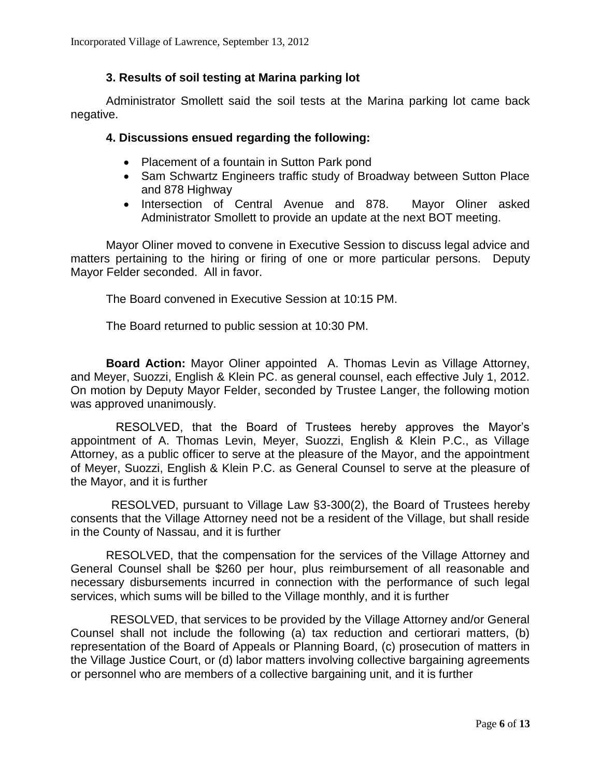# **3. Results of soil testing at Marina parking lot**

Administrator Smollett said the soil tests at the Marina parking lot came back negative.

#### **4. Discussions ensued regarding the following:**

- Placement of a fountain in Sutton Park pond
- Sam Schwartz Engineers traffic study of Broadway between Sutton Place and 878 Highway
- Intersection of Central Avenue and 878. Mayor Oliner asked Administrator Smollett to provide an update at the next BOT meeting.

Mayor Oliner moved to convene in Executive Session to discuss legal advice and matters pertaining to the hiring or firing of one or more particular persons. Deputy Mayor Felder seconded. All in favor.

The Board convened in Executive Session at 10:15 PM.

The Board returned to public session at 10:30 PM.

**Board Action:** Mayor Oliner appointed A. Thomas Levin as Village Attorney, and Meyer, Suozzi, English & Klein PC. as general counsel, each effective July 1, 2012. On motion by Deputy Mayor Felder, seconded by Trustee Langer, the following motion was approved unanimously.

 RESOLVED, that the Board of Trustees hereby approves the Mayor's appointment of A. Thomas Levin, Meyer, Suozzi, English & Klein P.C., as Village Attorney, as a public officer to serve at the pleasure of the Mayor, and the appointment of Meyer, Suozzi, English & Klein P.C. as General Counsel to serve at the pleasure of the Mayor, and it is further

 RESOLVED, pursuant to Village Law §3-300(2), the Board of Trustees hereby consents that the Village Attorney need not be a resident of the Village, but shall reside in the County of Nassau, and it is further

RESOLVED, that the compensation for the services of the Village Attorney and General Counsel shall be \$260 per hour, plus reimbursement of all reasonable and necessary disbursements incurred in connection with the performance of such legal services, which sums will be billed to the Village monthly, and it is further

 RESOLVED, that services to be provided by the Village Attorney and/or General Counsel shall not include the following (a) tax reduction and certiorari matters, (b) representation of the Board of Appeals or Planning Board, (c) prosecution of matters in the Village Justice Court, or (d) labor matters involving collective bargaining agreements or personnel who are members of a collective bargaining unit, and it is further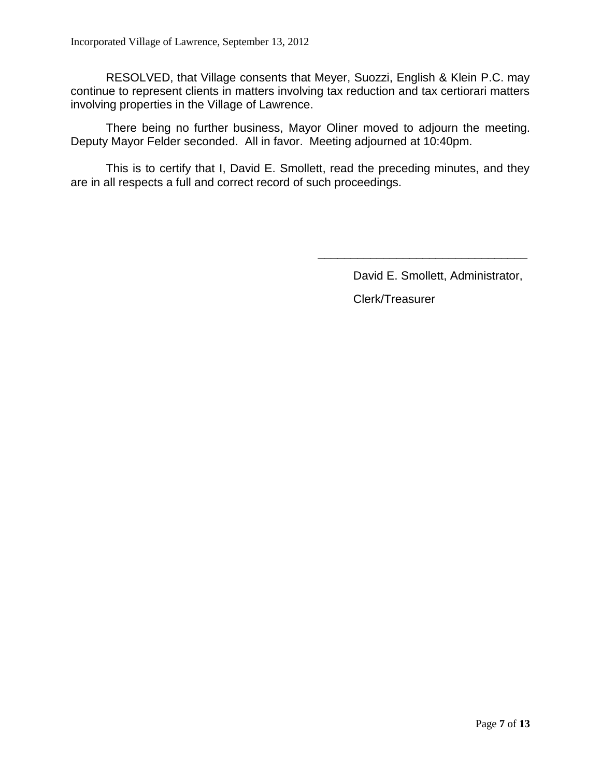RESOLVED, that Village consents that Meyer, Suozzi, English & Klein P.C. may continue to represent clients in matters involving tax reduction and tax certiorari matters involving properties in the Village of Lawrence.

There being no further business, Mayor Oliner moved to adjourn the meeting. Deputy Mayor Felder seconded. All in favor. Meeting adjourned at 10:40pm.

This is to certify that I, David E. Smollett, read the preceding minutes, and they are in all respects a full and correct record of such proceedings.

David E. Smollett, Administrator,

\_\_\_\_\_\_\_\_\_\_\_\_\_\_\_\_\_\_\_\_\_\_\_\_\_\_\_\_\_\_\_\_

Clerk/Treasurer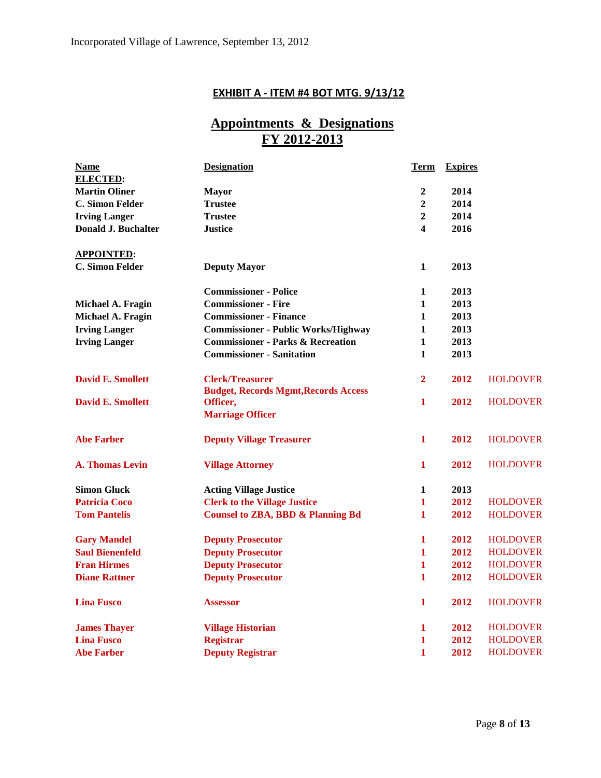# **EXHIBIT A - ITEM #4 BOT MTG. 9/13/12**

# **Appointments & Designations FY 2012-2013**

| <b>Name</b>                | <b>Designation</b>                           | <b>Term</b>    | <b>Expires</b> |                 |
|----------------------------|----------------------------------------------|----------------|----------------|-----------------|
| <b>ELECTED:</b>            |                                              |                |                |                 |
| <b>Martin Oliner</b>       | <b>Mayor</b>                                 | $\overline{2}$ | 2014           |                 |
| <b>C. Simon Felder</b>     | <b>Trustee</b>                               | $\overline{2}$ | 2014           |                 |
| <b>Irving Langer</b>       | <b>Trustee</b>                               | $\overline{2}$ | 2014           |                 |
| <b>Donald J. Buchalter</b> | <b>Justice</b>                               | 4              | 2016           |                 |
| <b>APPOINTED:</b>          |                                              |                |                |                 |
| <b>C. Simon Felder</b>     | <b>Deputy Mayor</b>                          | 1              | 2013           |                 |
|                            | <b>Commissioner - Police</b>                 | 1              | 2013           |                 |
| Michael A. Fragin          | <b>Commissioner - Fire</b>                   | $\mathbf{1}$   | 2013           |                 |
| Michael A. Fragin          | <b>Commissioner - Finance</b>                | 1              | 2013           |                 |
| <b>Irving Langer</b>       | <b>Commissioner - Public Works/Highway</b>   | $\mathbf{1}$   | 2013           |                 |
| <b>Irving Langer</b>       | <b>Commissioner - Parks &amp; Recreation</b> | 1              | 2013           |                 |
|                            | <b>Commissioner - Sanitation</b>             | 1              | 2013           |                 |
| <b>David E. Smollett</b>   | <b>Clerk/Treasurer</b>                       | $\overline{2}$ | 2012           | <b>HOLDOVER</b> |
|                            | <b>Budget, Records Mgmt, Records Access</b>  |                |                |                 |
| <b>David E. Smollett</b>   | Officer,                                     | 1              | 2012           | <b>HOLDOVER</b> |
|                            | <b>Marriage Officer</b>                      |                |                |                 |
| <b>Abe Farber</b>          | <b>Deputy Village Treasurer</b>              | 1              | 2012           | <b>HOLDOVER</b> |
| <b>A. Thomas Levin</b>     | <b>Village Attorney</b>                      | 1              | 2012           | <b>HOLDOVER</b> |
| <b>Simon Gluck</b>         | <b>Acting Village Justice</b>                | 1              | 2013           |                 |
| <b>Patricia Coco</b>       | <b>Clerk to the Village Justice</b>          | 1              | 2012           | <b>HOLDOVER</b> |
| <b>Tom Pantelis</b>        | <b>Counsel to ZBA, BBD &amp; Planning Bd</b> | 1              | 2012           | <b>HOLDOVER</b> |
| <b>Gary Mandel</b>         | <b>Deputy Prosecutor</b>                     | 1              | 2012           | <b>HOLDOVER</b> |
| <b>Saul Bienenfeld</b>     | <b>Deputy Prosecutor</b>                     | $\mathbf{1}$   | 2012           | <b>HOLDOVER</b> |
| <b>Fran Hirmes</b>         | <b>Deputy Prosecutor</b>                     | $\mathbf{1}$   | 2012           | <b>HOLDOVER</b> |
| <b>Diane Rattner</b>       | <b>Deputy Prosecutor</b>                     | $\mathbf{1}$   | 2012           | <b>HOLDOVER</b> |
| <b>Lina Fusco</b>          | <b>Assessor</b>                              | 1              | 2012           | <b>HOLDOVER</b> |
| <b>James Thayer</b>        | <b>Village Historian</b>                     | 1              | 2012           | <b>HOLDOVER</b> |
| <b>Lina Fusco</b>          | <b>Registrar</b>                             | $\mathbf{1}$   | 2012           | <b>HOLDOVER</b> |
| <b>Abe Farber</b>          | <b>Deputy Registrar</b>                      | 1              | 2012           | <b>HOLDOVER</b> |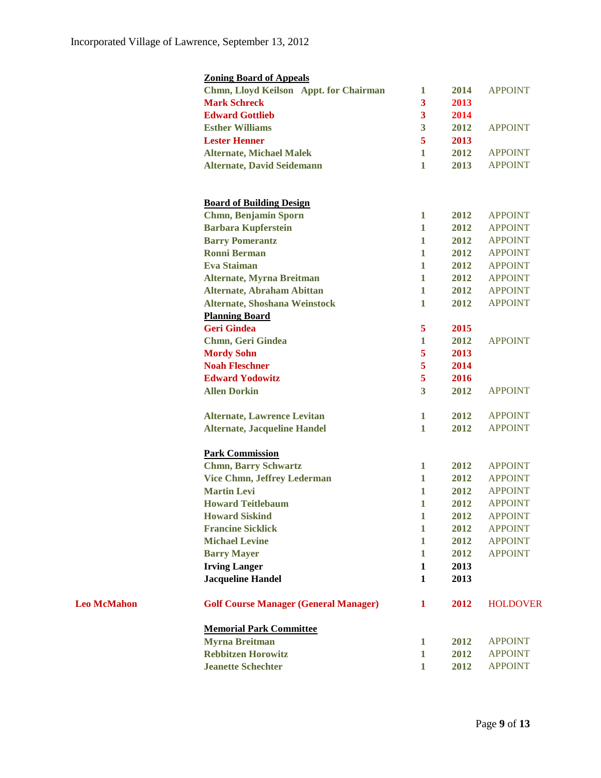**Leo McMahon** 

| <b>Zoning Board of Appeals</b>                        |                                              |                         |      |                                  |
|-------------------------------------------------------|----------------------------------------------|-------------------------|------|----------------------------------|
|                                                       | Chmn, Lloyd Keilson Appt. for Chairman       | 1                       | 2014 | <b>APPOINT</b>                   |
| <b>Mark Schreck</b>                                   |                                              | 3                       | 2013 |                                  |
| <b>Edward Gottlieb</b>                                |                                              | $\mathbf{3}$            | 2014 |                                  |
| <b>Esther Williams</b>                                |                                              | 3                       | 2012 | <b>APPOINT</b>                   |
| <b>Lester Henner</b>                                  |                                              | 5                       | 2013 |                                  |
| <b>Alternate, Michael Malek</b>                       |                                              | 1                       | 2012 | <b>APPOINT</b>                   |
| <b>Alternate, David Seidemann</b>                     |                                              | $\mathbf{1}$            | 2013 | <b>APPOINT</b>                   |
|                                                       |                                              |                         |      |                                  |
|                                                       |                                              |                         |      |                                  |
| <b>Board of Building Design</b>                       |                                              |                         |      |                                  |
| <b>Chmn, Benjamin Sporn</b>                           |                                              | $\mathbf{1}$            | 2012 | <b>APPOINT</b>                   |
| <b>Barbara Kupferstein</b>                            |                                              | $\mathbf{1}$            | 2012 | <b>APPOINT</b>                   |
| <b>Barry Pomerantz</b>                                |                                              | $\mathbf{1}$            | 2012 | <b>APPOINT</b>                   |
| <b>Ronni Berman</b>                                   |                                              | $\mathbf{1}$            | 2012 | <b>APPOINT</b>                   |
| <b>Eva Staiman</b>                                    |                                              | $\mathbf{1}$            | 2012 | <b>APPOINT</b>                   |
| <b>Alternate, Myrna Breitman</b>                      |                                              | $\mathbf{1}$            | 2012 | <b>APPOINT</b>                   |
| <b>Alternate, Abraham Abittan</b>                     |                                              | $\mathbf{1}$            | 2012 | <b>APPOINT</b>                   |
| <b>Alternate, Shoshana Weinstock</b>                  |                                              | $\mathbf{1}$            | 2012 | <b>APPOINT</b>                   |
| <b>Planning Board</b>                                 |                                              |                         |      |                                  |
| <b>Geri Gindea</b>                                    |                                              | $5^{\circ}$             | 2015 |                                  |
| <b>Chmn, Geri Gindea</b>                              |                                              | 1                       | 2012 | <b>APPOINT</b>                   |
| <b>Mordy Sohn</b>                                     |                                              | 5                       | 2013 |                                  |
| <b>Noah Fleschner</b>                                 |                                              | 5                       | 2014 |                                  |
| <b>Edward Yodowitz</b>                                |                                              | $\overline{5}$          | 2016 |                                  |
| <b>Allen Dorkin</b>                                   |                                              | $\overline{\mathbf{3}}$ | 2012 | <b>APPOINT</b>                   |
|                                                       |                                              |                         |      |                                  |
| <b>Alternate, Lawrence Levitan</b>                    |                                              | $\mathbf{1}$            | 2012 | <b>APPOINT</b>                   |
| <b>Alternate, Jacqueline Handel</b>                   |                                              | $\mathbf{1}$            | 2012 | <b>APPOINT</b>                   |
|                                                       |                                              |                         |      |                                  |
| <b>Park Commission</b><br><b>Chmn, Barry Schwartz</b> |                                              | $\mathbf{1}$            | 2012 | <b>APPOINT</b>                   |
| <b>Vice Chmn, Jeffrey Lederman</b>                    |                                              | 1                       | 2012 | <b>APPOINT</b>                   |
| <b>Martin Levi</b>                                    |                                              | $\mathbf{1}$            | 2012 | <b>APPOINT</b>                   |
| <b>Howard Teitlebaum</b>                              |                                              | 1                       | 2012 | <b>APPOINT</b>                   |
| <b>Howard Siskind</b>                                 |                                              | $\mathbf{1}$            | 2012 | <b>APPOINT</b>                   |
| <b>Francine Sicklick</b>                              |                                              | 1                       | 2012 | <b>APPOINT</b>                   |
| <b>Michael Levine</b>                                 |                                              | $\mathbf{1}$            | 2012 | <b>APPOINT</b>                   |
| <b>Barry Mayer</b>                                    |                                              | $\mathbf{1}$            | 2012 | <b>APPOINT</b>                   |
| <b>Irving Langer</b>                                  |                                              | $\mathbf{1}$            | 2013 |                                  |
| <b>Jacqueline Handel</b>                              |                                              | $\mathbf{1}$            | 2013 |                                  |
|                                                       |                                              |                         |      |                                  |
|                                                       | <b>Golf Course Manager (General Manager)</b> | 1                       | 2012 | <b>HOLDOVER</b>                  |
| <b>Memorial Park Committee</b>                        |                                              |                         |      |                                  |
| <b>Myrna Breitman</b>                                 |                                              | 1                       | 2012 | <b>APPOINT</b>                   |
| <b>Rebbitzen Horowitz</b>                             |                                              | $\mathbf{1}$            | 2012 |                                  |
| <b>Jeanette Schechter</b>                             |                                              | $\mathbf{1}$            | 2012 | <b>APPOINT</b><br><b>APPOINT</b> |
|                                                       |                                              |                         |      |                                  |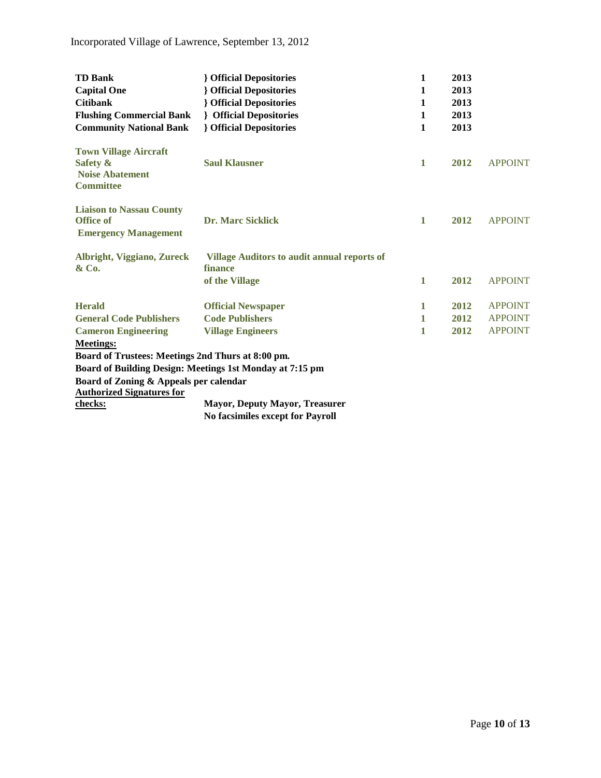| <b>TD Bank</b>                                                                         | <b>{</b> Official Depositories                                | 1            | 2013 |                |
|----------------------------------------------------------------------------------------|---------------------------------------------------------------|--------------|------|----------------|
| <b>Capital One</b>                                                                     | <b>Official Depositories</b>                                  | 1            | 2013 |                |
| <b>Citibank</b>                                                                        | <b>{</b> Official Depositories                                | 1            | 2013 |                |
| <b>Flushing Commercial Bank</b>                                                        | <b>{</b> Official Depositories                                | 1            | 2013 |                |
| <b>Community National Bank</b>                                                         | <b>{</b> Official Depositories                                | 1            | 2013 |                |
| <b>Town Village Aircraft</b><br>Safety &<br><b>Noise Abatement</b><br><b>Committee</b> | <b>Saul Klausner</b>                                          | $\mathbf{1}$ | 2012 | <b>APPOINT</b> |
| <b>Liaison to Nassau County</b><br><b>Office of</b><br><b>Emergency Management</b>     | <b>Dr. Marc Sicklick</b>                                      | $\mathbf{1}$ | 2012 | <b>APPOINT</b> |
| Albright, Viggiano, Zureck<br>& Co.                                                    | <b>Village Auditors to audit annual reports of</b><br>finance |              |      |                |
|                                                                                        | of the Village                                                | 1            | 2012 | <b>APPOINT</b> |
| <b>Herald</b>                                                                          | <b>Official Newspaper</b>                                     | $\mathbf 1$  | 2012 | <b>APPOINT</b> |
| <b>General Code Publishers</b>                                                         | <b>Code Publishers</b>                                        | 1            | 2012 | <b>APPOINT</b> |
| <b>Cameron Engineering</b>                                                             | <b>Village Engineers</b>                                      | 1            | 2012 | <b>APPOINT</b> |
| <b>Meetings:</b>                                                                       |                                                               |              |      |                |
| Board of Trustees: Meetings 2nd Thurs at 8:00 pm.                                      |                                                               |              |      |                |
|                                                                                        | Board of Building Design: Meetings 1st Monday at 7:15 pm      |              |      |                |
| Board of Zoning & Appeals per calendar                                                 |                                                               |              |      |                |
| <b>Authorized Signatures for</b>                                                       |                                                               |              |      |                |
| checks:                                                                                | <b>Mayor, Deputy Mayor, Treasurer</b>                         |              |      |                |
|                                                                                        | <b>No facsimiles except for Payroll</b>                       |              |      |                |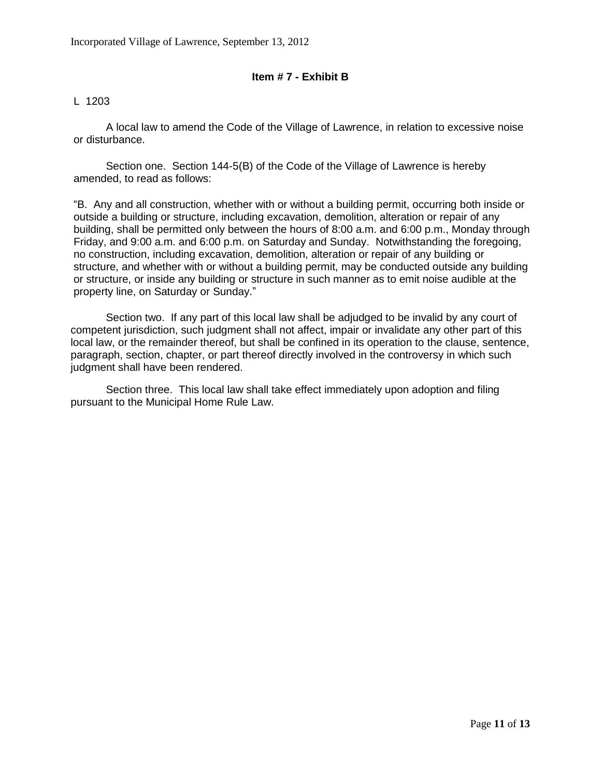#### **Item # 7 - Exhibit B**

#### L 1203

A local law to amend the Code of the Village of Lawrence, in relation to excessive noise or disturbance.

Section one. Section 144-5(B) of the Code of the Village of Lawrence is hereby amended, to read as follows:

"B. Any and all construction, whether with or without a building permit, occurring both inside or outside a building or structure, including excavation, demolition, alteration or repair of any building, shall be permitted only between the hours of 8:00 a.m. and 6:00 p.m., Monday through Friday, and 9:00 a.m. and 6:00 p.m. on Saturday and Sunday. Notwithstanding the foregoing, no construction, including excavation, demolition, alteration or repair of any building or structure, and whether with or without a building permit, may be conducted outside any building or structure, or inside any building or structure in such manner as to emit noise audible at the property line, on Saturday or Sunday."

Section two. If any part of this local law shall be adjudged to be invalid by any court of competent jurisdiction, such judgment shall not affect, impair or invalidate any other part of this local law, or the remainder thereof, but shall be confined in its operation to the clause, sentence, paragraph, section, chapter, or part thereof directly involved in the controversy in which such judgment shall have been rendered.

Section three. This local law shall take effect immediately upon adoption and filing pursuant to the Municipal Home Rule Law.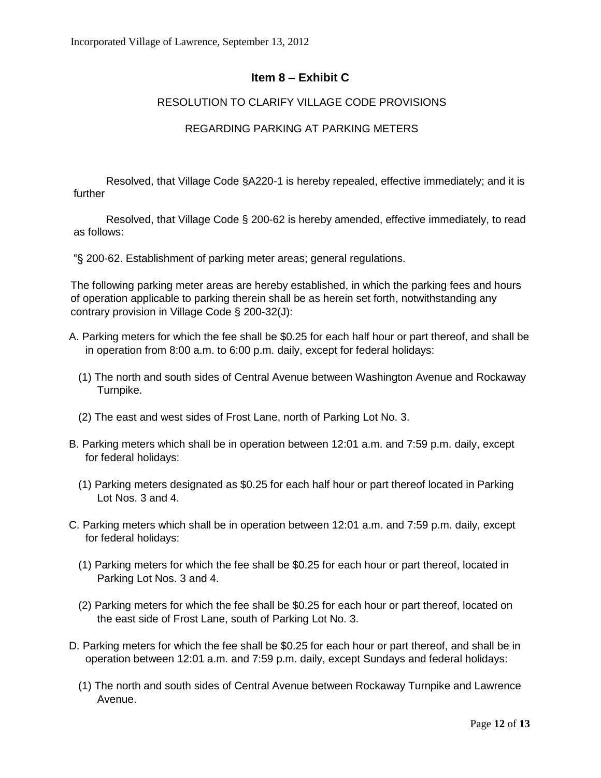# **Item 8 – Exhibit C**

## RESOLUTION TO CLARIFY VILLAGE CODE PROVISIONS

#### REGARDING PARKING AT PARKING METERS

Resolved, that Village Code §A220-1 [is hereby repealed, effective immediately; and it is](http://www.ecode360.com/11021654#11021655)  [further](http://www.ecode360.com/11021654#11021655)

Resolved, that Village Code § [200-62 is hereby amended, effective immediately, to read](http://www.ecode360.com/11021654#11021655)  [as follows:](http://www.ecode360.com/11021654#11021655)

"§ 200-62. Establishment [of parking meter areas; general regulations.](http://www.ecode360.com/11021654#11021655) 

The following parking meter areas are hereby established, in which the parking fees and hours of operation applicable to parking therein shall be as herein set forth, notwithstanding any contrary provision in Village Code § 200-32(J):

- [A.](http://www.ecode360.com/11021654#11021656) Parking meters for which the fee shall be \$0.25 for each half hour or part thereof, and shall be in operation from 8:00 a.m. to 6:00 p.m. daily, except for federal holidays:
	- [\(1\)](http://www.ecode360.com/11021654#11021657) The north and south sides of Central Avenue between Washington Avenue and Rockaway Turnpike.
	- [\(2\)](http://www.ecode360.com/11021654#11021658) The east and west sides of Frost Lane, north of Parking Lot No. 3.
- [B.](http://www.ecode360.com/11021654#11021659) Parking meters which shall be in operation between 12:01 a.m. and 7:59 p.m. daily, except for federal holidays:
	- [\(1\)](http://www.ecode360.com/11021654#11021660) Parking meters designated as \$0.25 for each half hour or part thereof located in Parking Lot Nos. 3 and 4.
- [C.](http://www.ecode360.com/11021654#11021661) Parking meters which shall be in operation between 12:01 a.m. and 7:59 p.m. daily, except for federal holidays:
	- [\(1\)](http://www.ecode360.com/11021654#11021662) Parking meters for which the fee shall be \$0.25 for each hour or part thereof, located in Parking Lot Nos. 3 and 4.
	- [\(2\)](http://www.ecode360.com/11021654#11021663) Parking meters for which the fee shall be \$0.25 for each hour or part thereof, located on the east side of Frost Lane, south of Parking Lot No. 3.
- [D.](http://www.ecode360.com/11021654#11021664) Parking meters for which the fee shall be \$0.25 for each hour or part thereof, and shall be in operation between 12:01 a.m. and 7:59 p.m. daily, except Sundays and federal holidays:
	- [\(1\)](http://www.ecode360.com/11021654#11021665) The north and south sides of Central Avenue between Rockaway Turnpike and Lawrence Avenue.